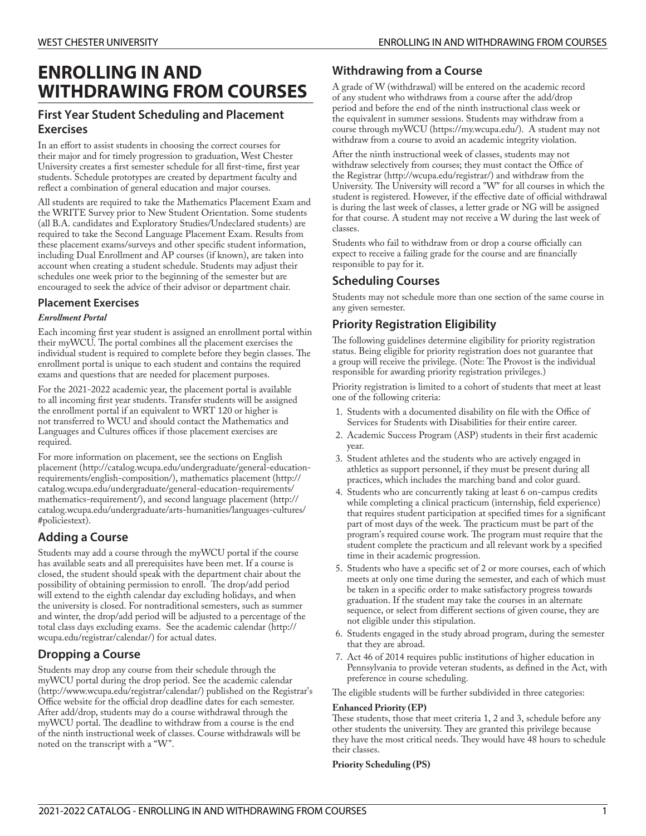# **ENROLLING IN AND WITHDRAWING FROM COURSES**

# **First Year Student Scheduling and Placement Exercises**

In an effort to assist students in choosing the correct courses for their major and for timely progression to graduation, West Chester University creates a first semester schedule for all first-time, first year students. Schedule prototypes are created by department faculty and reflect a combination of general education and major courses.

All students are required to take the Mathematics Placement Exam and the WRITE Survey prior to New Student Orientation. Some students (all B.A. candidates and Exploratory Studies/Undeclared students) are required to take the Second Language Placement Exam. Results from these placement exams/surveys and other specific student information, including Dual Enrollment and AP courses (if known), are taken into account when creating a student schedule. Students may adjust their schedules one week prior to the beginning of the semester but are encouraged to seek the advice of their advisor or department chair.

# **Placement Exercises**

### *Enrollment Portal*

Each incoming first year student is assigned an enrollment portal within their myWCU. The portal combines all the placement exercises the individual student is required to complete before they begin classes. The enrollment portal is unique to each student and contains the required exams and questions that are needed for placement purposes.

For the 2021-2022 academic year, the placement portal is available to all incoming first year students. Transfer students will be assigned the enrollment portal if an equivalent to WRT 120 or higher is not transferred to WCU and should contact the Mathematics and Languages and Cultures offices if those placement exercises are required.

For more information on placement, see the sections on [English](http://catalog.wcupa.edu/undergraduate/general-education-requirements/english-composition/) [placement](http://catalog.wcupa.edu/undergraduate/general-education-requirements/english-composition/) [\(http://catalog.wcupa.edu/undergraduate/general-education](http://catalog.wcupa.edu/undergraduate/general-education-requirements/english-composition/)[requirements/english-composition/](http://catalog.wcupa.edu/undergraduate/general-education-requirements/english-composition/)), [mathematics placement](http://catalog.wcupa.edu/undergraduate/general-education-requirements/mathematics-requirement/) [\(http://](http://catalog.wcupa.edu/undergraduate/general-education-requirements/mathematics-requirement/) [catalog.wcupa.edu/undergraduate/general-education-requirements/](http://catalog.wcupa.edu/undergraduate/general-education-requirements/mathematics-requirement/) [mathematics-requirement/\)](http://catalog.wcupa.edu/undergraduate/general-education-requirements/mathematics-requirement/), and second language [placement \(http://](http://catalog.wcupa.edu/undergraduate/arts-humanities/languages-cultures/#policiestext) [catalog.wcupa.edu/undergraduate/arts-humanities/languages-cultures/](http://catalog.wcupa.edu/undergraduate/arts-humanities/languages-cultures/#policiestext) [#policiestext\)](http://catalog.wcupa.edu/undergraduate/arts-humanities/languages-cultures/#policiestext).

# **Adding a Course**

Students may add a course through the myWCU portal if the course has available seats and all prerequisites have been met. If a course is closed, the student should speak with the department chair about the possibility of obtaining permission to enroll. The drop/add period will extend to the eighth calendar day excluding holidays, and when the university is closed. For nontraditional semesters, such as summer and winter, the drop/add period will be adjusted to a percentage of the total class days excluding exams. See the [academic](http://wcupa.edu/registrar/calendar/) calendar [\(http://](http://wcupa.edu/registrar/calendar/) [wcupa.edu/registrar/calendar/](http://wcupa.edu/registrar/calendar/)) for actual dates.

# **Dropping a Course**

Students may drop any course from their schedule through the myWCU portal during the drop period. See the [academic](http://www.wcupa.edu/registrar/calendar/) calendar (<http://www.wcupa.edu/registrar/calendar/>) published on the Registrar's Office website for the official drop deadline dates for each semester. After add/drop, students may do a course withdrawal through the myWCU portal. The deadline to withdraw from a course is the end of the ninth instructional week of classes. Course withdrawals will be noted on the transcript with a "W".

# **Withdrawing from a Course**

A grade of W (withdrawal) will be entered on the academic record of any student who withdraws from a course after the add/drop period and before the end of the ninth instructional class week or the equivalent in summer sessions. Students may withdraw from a course through [myWCU](https://my.wcupa.edu/) [\(https://my.wcupa.edu/](https://my.wcupa.edu/)). A student may not withdraw from a course to avoid an academic integrity violation.

After the ninth instructional week of classes, students may not withdraw selectively from courses; they must contact the [Office of](http://wcupa.edu/registrar/) the [Registrar \(http://wcupa.edu/registrar/](http://wcupa.edu/registrar/)) and withdraw from the University. The University will record a "W" for all courses in which the student is registered. However, if the effective date of official withdrawal is during the last week of classes, a letter grade or NG will be assigned for that course. A student may not receive a W during the last week of classes.

Students who fail to withdraw from or drop a course officially can expect to receive a failing grade for the course and are financially responsible to pay for it.

# **Scheduling Courses**

Students may not schedule more than one section of the same course in any given semester.

# **Priority Registration Eligibility**

The following guidelines determine eligibility for priority registration status. Being eligible for priority registration does not guarantee that a group will receive the privilege. (Note: The Provost is the individual responsible for awarding priority registration privileges.)

Priority registration is limited to a cohort of students that meet at least one of the following criteria:

- 1. Students with a documented disability on file with the Office of Services for Students with Disabilities for their entire career.
- 2. Academic Success Program (ASP) students in their first academic year.
- 3. Student athletes and the students who are actively engaged in athletics as support personnel, if they must be present during all practices, which includes the marching band and color guard.
- 4. Students who are concurrently taking at least 6 on-campus credits while completing a clinical practicum (internship, field experience) that requires student participation at specified times for a significant part of most days of the week. The practicum must be part of the program's required course work. The program must require that the student complete the practicum and all relevant work by a specified time in their academic progression.
- 5. Students who have a specific set of 2 or more courses, each of which meets at only one time during the semester, and each of which must be taken in a specific order to make satisfactory progress towards graduation. If the student may take the courses in an alternate sequence, or select from different sections of given course, they are not eligible under this stipulation.
- 6. Students engaged in the study abroad program, during the semester that they are abroad.
- 7. Act 46 of 2014 requires public institutions of higher education in Pennsylvania to provide veteran students, as defined in the Act, with preference in course scheduling.

The eligible students will be further subdivided in three categories:

#### **Enhanced Priority (EP)**

These students, those that meet criteria 1, 2 and 3, schedule before any other students the university. They are granted this privilege because they have the most critical needs. They would have 48 hours to schedule their classes.

**Priority Scheduling (PS)**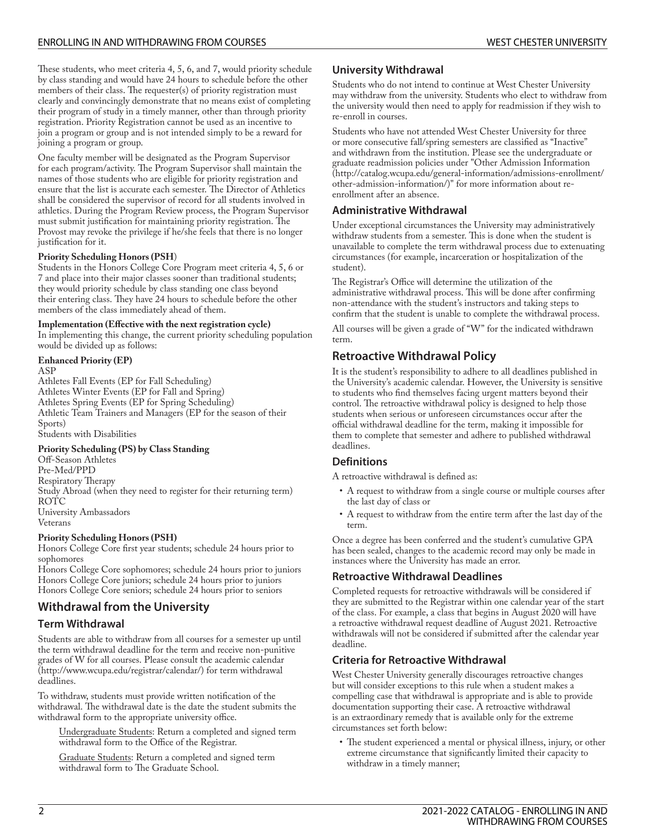These students, who meet criteria 4, 5, 6, and 7, would priority schedule by class standing and would have 24 hours to schedule before the other members of their class. The requester(s) of priority registration must clearly and convincingly demonstrate that no means exist of completing their program of study in a timely manner, other than through priority registration. Priority Registration cannot be used as an incentive to join a program or group and is not intended simply to be a reward for joining a program or group.

One faculty member will be designated as the Program Supervisor for each program/activity. The Program Supervisor shall maintain the names of those students who are eligible for priority registration and ensure that the list is accurate each semester. The Director of Athletics shall be considered the supervisor of record for all students involved in athletics. During the Program Review process, the Program Supervisor must submit justification for maintaining priority registration. The Provost may revoke the privilege if he/she feels that there is no longer justification for it.

#### **Priority Scheduling Honors (PSH**)

Students in the Honors College Core Program meet criteria 4, 5, 6 or 7 and place into their major classes sooner than traditional students; they would priority schedule by class standing one class beyond their entering class. They have 24 hours to schedule before the other members of the class immediately ahead of them.

#### **Implementation (Effective with the next registration cycle)**

In implementing this change, the current priority scheduling population would be divided up as follows:

#### **Enhanced Priority (EP)**

ASP Athletes Fall Events (EP for Fall Scheduling) Athletes Winter Events (EP for Fall and Spring) Athletes Spring Events (EP for Spring Scheduling) Athletic Team Trainers and Managers (EP for the season of their Sports) Students with Disabilities

#### **Priority Scheduling (PS) by Class Standing**

Off-Season Athletes Pre-Med/PPD Respiratory Therapy Study Abroad (when they need to register for their returning term) ROTC University Ambassadors Veterans

#### **Priority Scheduling Honors (PSH)**

Honors College Core first year students; schedule 24 hours prior to sophomores

Honors College Core sophomores; schedule 24 hours prior to juniors Honors College Core juniors; schedule 24 hours prior to juniors Honors College Core seniors; schedule 24 hours prior to seniors

# **Withdrawal from the University**

### **Term Withdrawal**

Students are able to withdraw from all courses for a semester up until the term withdrawal deadline for the term and receive non-punitive grades of W for all courses. Please consult the [academic](http://www.wcupa.edu/registrar/calendar/) calendar (<http://www.wcupa.edu/registrar/calendar/>) for term withdrawal deadlines.

To withdraw, students must provide written notification of the withdrawal. The withdrawal date is the date the student submits the withdrawal form to the appropriate university office.

Undergraduate Students: Return a completed and signed term withdrawal form to the Office of the Registrar.

Graduate Students: Return a completed and signed term withdrawal form to The Graduate School.

### **University Withdrawal**

Students who do not intend to continue at West Chester University may withdraw from the university. Students who elect to withdraw from the university would then need to apply for readmission if they wish to re-enroll in courses.

Students who have not attended West Chester University for three or more consecutive fall/spring semesters are classified as "Inactive" and withdrawn from the institution. Please see the undergraduate or graduate readmission policies under "Other Admission [Information](http://catalog.wcupa.edu/general-information/admissions-enrollment/other-admission-information/) ([http://catalog.wcupa.edu/general-information/admissions-enrollment/](http://catalog.wcupa.edu/general-information/admissions-enrollment/other-admission-information/) [other-admission-information/\)](http://catalog.wcupa.edu/general-information/admissions-enrollment/other-admission-information/)" for more information about reenrollment after an absence.

### **Administrative Withdrawal**

Under exceptional circumstances the University may administratively withdraw students from a semester. This is done when the student is unavailable to complete the term withdrawal process due to extenuating circumstances (for example, incarceration or hospitalization of the student).

The Registrar's Office will determine the utilization of the administrative withdrawal process. This will be done after confirming non-attendance with the student's instructors and taking steps to confirm that the student is unable to complete the withdrawal process.

All courses will be given a grade of "W" for the indicated withdrawn term.

# **Retroactive Withdrawal Policy**

It is the student's responsibility to adhere to all deadlines published in the University's academic calendar. However, the University is sensitive to students who find themselves facing urgent matters beyond their control. The retroactive withdrawal policy is designed to help those students when serious or unforeseen circumstances occur after the official withdrawal deadline for the term, making it impossible for them to complete that semester and adhere to published withdrawal deadlines.

### **Definitions**

A retroactive withdrawal is defined as:

- A request to withdraw from a single course or multiple courses after the last day of class or
- A request to withdraw from the entire term after the last day of the term.

Once a degree has been conferred and the student's cumulative GPA has been sealed, changes to the academic record may only be made in instances where the University has made an error.

### **Retroactive Withdrawal Deadlines**

Completed requests for retroactive withdrawals will be considered if they are submitted to the Registrar within one calendar year of the start of the class. For example, a class that begins in August 2020 will have a retroactive withdrawal request deadline of August 2021. Retroactive withdrawals will not be considered if submitted after the calendar year deadline.

### **Criteria for Retroactive Withdrawal**

West Chester University generally discourages retroactive changes but will consider exceptions to this rule when a student makes a compelling case that withdrawal is appropriate and is able to provide documentation supporting their case. A retroactive withdrawal is an extraordinary remedy that is available only for the extreme circumstances set forth below:

• The student experienced a mental or physical illness, injury, or other extreme circumstance that significantly limited their capacity to withdraw in a timely manner;